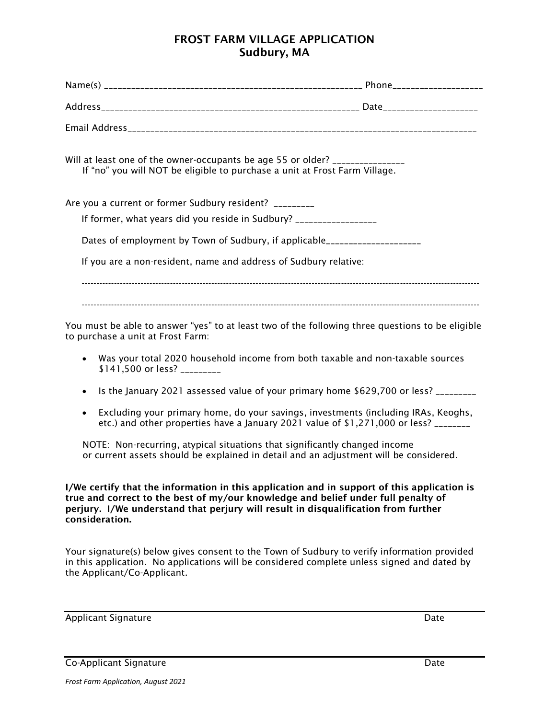## FROST FARM VILLAGE APPLICATION Sudbury, MA

| Will at least one of the owner-occupants be age 55 or older? _______________<br>If "no" you will NOT be eligible to purchase a unit at Frost Farm Village. |  |
|------------------------------------------------------------------------------------------------------------------------------------------------------------|--|
| Are you a current or former Sudbury resident? _________                                                                                                    |  |
| If former, what years did you reside in Sudbury? _________________                                                                                         |  |
| Dates of employment by Town of Sudbury, if applicable___________________                                                                                   |  |
| If you are a non-resident, name and address of Sudbury relative:                                                                                           |  |
|                                                                                                                                                            |  |
| You must be able to answer "yes" to at least two of the following three questions to be eligible<br>to purchase a unit at Frost Farm:                      |  |
| Was your total 2020 household income from both taxable and non-taxable sources<br>\$141,500 or less? _________                                             |  |

- Is the January 2021 assessed value of your primary home \$629,700 or less? \_\_\_\_\_\_\_\_
- Excluding your primary home, do your savings, investments (including IRAs, Keoghs, etc.) and other properties have a January 2021 value of \$1,271,000 or less? \_\_\_\_\_\_\_\_

 NOTE: Non-recurring, atypical situations that significantly changed income or current assets should be explained in detail and an adjustment will be considered.

I/We certify that the information in this application and in support of this application is true and correct to the best of my/our knowledge and belief under full penalty of perjury. I/We understand that perjury will result in disqualification from further consideration.

Your signature(s) below gives consent to the Town of Sudbury to verify information provided in this application. No applications will be considered complete unless signed and dated by the Applicant/Co-Applicant.

Applicant Signature Date

Co-Applicant Signature Date